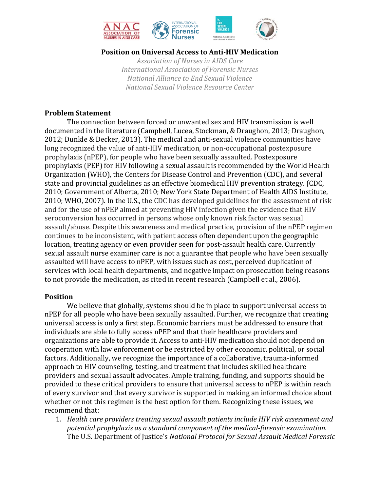

# **Position on Universal Access to Anti‐HIV Medication**

*Association of Nurses in AIDS Care International Association of Forensic Nurses National Alliance to End Sexual Violence National Sexual Violence Resource Center*

### **Problem Statement**

The connection between forced or unwanted sex and HIV transmission is well documented in the literature (Campbell, Lucea, Stockman, & Draughon, 2013; Draughon, 2012; Dunkle & Decker, 2013). The medical and anti-sexual violence communities have long recognized the value of anti-HIV medication, or non-occupational postexposure prophylaxis (nPEP), for people who have been sexually assaulted. Postexposure prophylaxis (PEP) for HIV following a sexual assault is recommended by the World Health Organization (WHO), the Centers for Disease Control and Prevention (CDC), and several state and provincial guidelines as an effective biomedical HIV prevention strategy. (CDC, 2010; Government of Alberta, 2010; New York State Department of Health AIDS Institute, 2010; WHO, 2007). In the U.S., the CDC has developed guidelines for the assessment of risk and for the use of nPEP aimed at preventing HIV infection given the evidence that HIV seroconversion has occurred in persons whose only known risk factor was sexual assault/abuse. Despite this awareness and medical practice, provision of the nPEP regimen continues to be inconsistent, with patient access often dependent upon the geographic location, treating agency or even provider seen for post-assault health care. Currently sexual assault nurse examiner care is not a guarantee that people who have been sexually assaulted will have access to nPEP, with issues such as cost, perceived duplication of services with local health departments, and negative impact on prosecution being reasons to not provide the medication, as cited in recent research (Campbell et al., 2006).

# **Position**

We believe that globally, systems should be in place to support universal access to nPEP for all people who have been sexually assaulted. Further, we recognize that creating universal access is only a first step. Economic barriers must be addressed to ensure that individuals are able to fully access nPEP and that their healthcare providers and organizations are able to provide it. Access to anti-HIV medication should not depend on cooperation with law enforcement or be restricted by other economic, political, or social factors. Additionally, we recognize the importance of a collaborative, trauma-informed approach to HIV counseling, testing, and treatment that includes skilled healthcare providers and sexual assault advocates. Ample training, funding, and supports should be provided to these critical providers to ensure that universal access to nPEP is within reach of every survivor and that every survivor is supported in making an informed choice about whether or not this regimen is the best option for them. Recognizing these issues, we recommend that:

1. *Health care providers treating sexual assault patients include HIV risk assessment and potential prophylaxis as a standard component of the medical‐forensic examination.* The U.S. Department of Justice's *National Protocol for Sexual Assault Medical Forensic*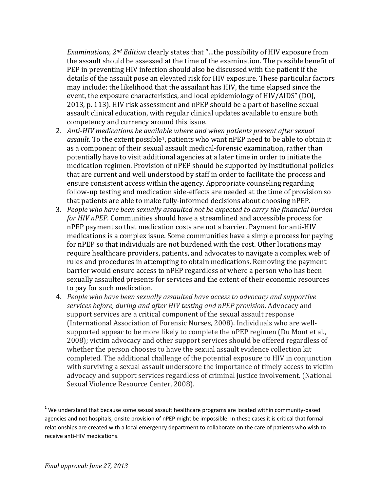*Examinations, 2<sup>nd</sup> Edition* clearly states that "...the possibility of HIV exposure from the assault should be assessed at the time of the examination. The possible benefit of PEP in preventing HIV infection should also be discussed with the patient if the details of the assault pose an elevated risk for HIV exposure. These particular factors may include: the likelihood that the assailant has HIV, the time elapsed since the event, the exposure characteristics, and local epidemiology of HIV/AIDS" (DOJ, 2013, p. 113). HIV risk assessment and nPEP should be a part of baseline sexual assault clinical education, with regular clinical updates available to ensure both competency and currency around this issue.

- 2. *Anti‐HIV medications be available where and when patients present after sexual assault*. To the extent possible<sup>1</sup>, patients who want nPEP need to be able to obtain it as a component of their sexual assault medical-forensic examination, rather than potentially have to visit additional agencies at a later time in order to initiate the medication regimen. Provision of nPEP should be supported by institutional policies that are current and well understood by staff in order to facilitate the process and ensure consistent access within the agency. Appropriate counseling regarding follow-up testing and medication side-effects are needed at the time of provision so that patients are able to make fully-informed decisions about choosing nPEP.
- 3. *People who have been sexually assaulted not be expected to carry the financial burden for HIV nPEP.* Communities should have a streamlined and accessible process for nPEP payment so that medication costs are not a barrier. Payment for anti-HIV medications is a complex issue. Some communities have a simple process for paying for nPEP so that individuals are not burdened with the cost. Other locations may require healthcare providers, patients, and advocates to navigate a complex web of rules and procedures in attempting to obtain medications. Removing the payment barrier would ensure access to nPEP regardless of where a person who has been sexually assaulted presents for services and the extent of their economic resources to pay for such medication.
- 4. *People who have been sexually assaulted have access to advocacy and supportive services before, during and after HIV testing and nPEP provision*. Advocacy and support services are a critical component of the sexual assault response (International Association of Forensic Nurses, 2008). Individuals who are wellsupported appear to be more likely to complete the nPEP regimen (Du Mont et al., 2008); victim advocacy and other support services should be offered regardless of whether the person chooses to have the sexual assault evidence collection kit completed. The additional challenge of the potential exposure to HIV in conjunction with surviving a sexual assault underscore the importance of timely access to victim advocacy and support services regardless of criminal justice involvement. (National Sexual Violence Resource Center, 2008).

 

 $1$  We understand that because some sexual assault healthcare programs are located within community-based agencies and not hospitals, onsite provision of nPEP might be impossible. In these cases it is critical that formal relationships are created with a local emergency department to collaborate on the care of patients who wish to receive anti‐HIV medications.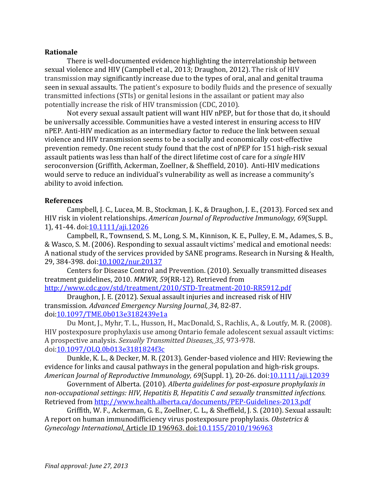### **Rationale**

There is well-documented evidence highlighting the interrelationship between sexual violence and HIV (Campbell et al., 2013; Draughon, 2012). The risk of HIV transmission may significantly increase due to the types of oral, anal and genital trauma seen in sexual assaults. The patient's exposure to bodily fluids and the presence of sexually transmitted infections (STIs) or genital lesions in the assailant or patient may also potentially increase the risk of HIV transmission (CDC, 2010).

Not every sexual assault patient will want HIV nPEP, but for those that do, it should be universally accessible. Communities have a vested interest in ensuring access to HIV nPEP. Anti-HIV medication as an intermediary factor to reduce the link between sexual violence and HIV transmission seems to be a socially and economically cost-effective prevention remedy. One recent study found that the cost of nPEP for 151 high-risk sexual assault patients was less than half of the direct lifetime cost of care for a *single* HIV seroconversion (Griffith, Ackerman, Zoellner, & Sheffield, 2010). Anti-HIV medications would serve to reduce an individual's vulnerability as well as increase a community's ability to avoid infection.

### **References**

Campbell, J. C., Lucea, M. B., Stockman, J. K., & Draughon, J. E., (2013). Forced sex and HIV risk in violent relationships. *American Journal of Reproductive Immunology, 69*(Suppl. 1), 41-44. doi: 10.1111/aji.12026

Campbell, R., Townsend, S. M., Long, S. M., Kinnison, K. E., Pulley, E. M., Adames, S. B., & Wasco, S. M. (2006). Responding to sexual assault victims' medical and emotional needs: A national study of the services provided by SANE programs. Research in Nursing & Health, 29, 384-398. doi: 10.1002/nur.20137

Centers for Disease Control and Prevention. (2010). Sexually transmitted diseases treatment guidelines, 2010. *MMWR*, 59(RR-12). Retrieved from http://www.cdc.gov/std/treatment/2010/STD‐Treatment‐2010‐RR5912.pdf 

Draughon, J. E. (2012). Sexual assault injuries and increased risk of HIV transmission. *Advanced Emergency Nursing Journal, 34*, 82‐87. doi:10.1097/TME.0b013e3182439e1a

Du Mont, J., Myhr, T. L., Husson, H., MacDonald, S., Rachlis, A., & Loutfy, M. R. (2008). HIV postexposure prophylaxis use among Ontario female adolescent sexual assault victims: A prospective analysis. *Sexually Transmitted Diseases, 35*, 973‐978. doi:10.1097/OLQ.0b013e3181824f3c

Dunkle, K. L., & Decker, M. R. (2013). Gender-based violence and HIV: Reviewing the evidence for links and causal pathways in the general population and high-risk groups. *American Journal of Reproductive Immunology, 69*(Suppl. 1), 20‐26. doi:10.1111/aji.12039

Government of Alberta. (2010). *Alberta guidelines for post‐exposure prophylaxis in non‐occupational settings: HIV, Hepatitis B, Hepatitis C and sexually transmitted infections.* Retrieved from http://www.health.alberta.ca/documents/PEP-Guidelines-2013.pdf

Griffith, W. F., Ackerman, G. E., Zoellner, C. L., & Sheffield, J. S. (2010). Sexual assault: A report on human immunodifficiency virus postexposure prophylaxis. Obstetrics & *Gynecology International*, Article ID 196963. doi:10.1155/2010/196963